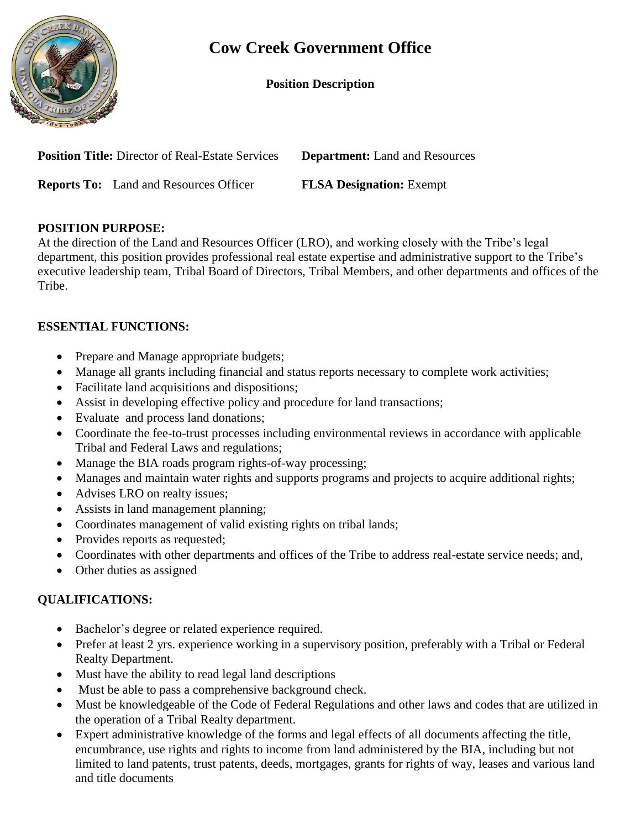

# **Cow Creek Government Office**

#### **Position Description**

| <b>Position Title:</b> Director of Real-Estate Services | <b>Department:</b> Land and Resources |
|---------------------------------------------------------|---------------------------------------|
| <b>Reports To:</b> Land and Resources Officer           | <b>FLSA Designation:</b> Exempt       |

#### **POSITION PURPOSE:**

At the direction of the Land and Resources Officer (LRO), and working closely with the Tribe's legal department, this position provides professional real estate expertise and administrative support to the Tribe's executive leadership team, Tribal Board of Directors, Tribal Members, and other departments and offices of the Tribe.

## **ESSENTIAL FUNCTIONS:**

- Prepare and Manage appropriate budgets;
- Manage all grants including financial and status reports necessary to complete work activities;
- Facilitate land acquisitions and dispositions;
- Assist in developing effective policy and procedure for land transactions;
- Evaluate and process land donations;
- Coordinate the fee-to-trust processes including environmental reviews in accordance with applicable Tribal and Federal Laws and regulations;
- Manage the BIA roads program rights-of-way processing;
- Manages and maintain water rights and supports programs and projects to acquire additional rights;
- Advises LRO on realty issues;
- Assists in land management planning;
- Coordinates management of valid existing rights on tribal lands;
- Provides reports as requested;
- Coordinates with other departments and offices of the Tribe to address real-estate service needs; and,
- Other duties as assigned

## **QUALIFICATIONS:**

- Bachelor's degree or related experience required.
- Prefer at least 2 yrs. experience working in a supervisory position, preferably with a Tribal or Federal Realty Department.
- Must have the ability to read legal land descriptions
- Must be able to pass a comprehensive background check.
- Must be knowledgeable of the Code of Federal Regulations and other laws and codes that are utilized in the operation of a Tribal Realty department.
- Expert administrative knowledge of the forms and legal effects of all documents affecting the title, encumbrance, use rights and rights to income from land administered by the BIA, including but not limited to land patents, trust patents, deeds, mortgages, grants for rights of way, leases and various land and title documents